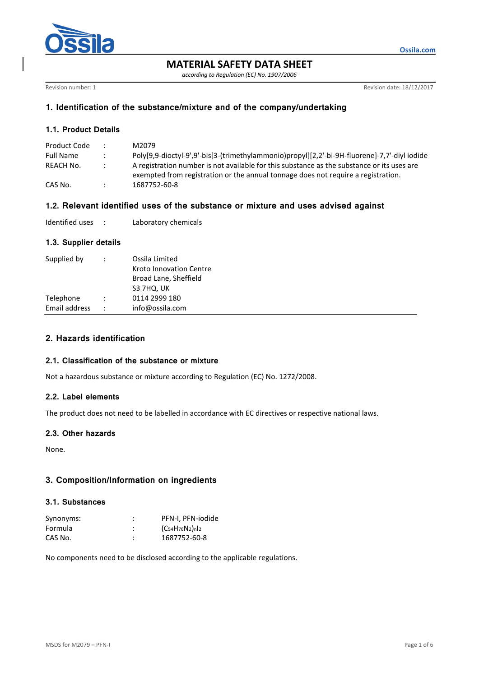

**MATERIAL SAFETY DATA SHEET**

*according to Regulation (EC) No. 1907/2006*

Revision number: 1 **Revision date: 18/12/2017** 

**Ossila.com**

## **1. Identification of the substance/mixture and of the company/undertaking**

## **1.1. Product Details**

| Product Code     |               | M2079.                                                                                       |
|------------------|---------------|----------------------------------------------------------------------------------------------|
| <b>Full Name</b> | $\mathcal{L}$ | Poly[9,9-dioctyl-9',9'-bis[3-(trimethylammonio)propyl][2,2'-bi-9H-fluorene]-7,7'-diyl iodide |
| REACH No.        | $\mathcal{L}$ | A registration number is not available for this substance as the substance or its uses are   |
|                  |               | exempted from registration or the annual tonnage does not require a registration.            |
| CAS No.          |               | 1687752-60-8                                                                                 |

## **1.2. Relevant identified uses of the substance or mixture and uses advised against**

| Identified uses |  | Laboratory chemicals |
|-----------------|--|----------------------|
|-----------------|--|----------------------|

### **1.3. Supplier details**

| Supplied by   | $\ddot{\phantom{a}}$ | Ossila Limited<br>Kroto Innovation Centre<br>Broad Lane, Sheffield<br>S3 7HQ, UK |
|---------------|----------------------|----------------------------------------------------------------------------------|
| Telephone     |                      | 0114 2999 180                                                                    |
| Email address | $\ddot{\phantom{0}}$ | info@ossila.com                                                                  |
|               |                      |                                                                                  |

# **2. Hazards identification**

### **2.1. Classification of the substance or mixture**

Not a hazardous substance or mixture according to Regulation (EC) No. 1272/2008.

### **2.2. Label elements**

The product does not need to be labelled in accordance with EC directives or respective national laws.

### **2.3. Other hazards**

None.

## **3. Composition/Information on ingredients**

#### **3.1. Substances**

| Synonyms: | PFN-I, PFN-iodide         |
|-----------|---------------------------|
| Formula   | $(C_{54}H_{76}N_2)_{n12}$ |
| CAS No.   | 1687752-60-8              |

No components need to be disclosed according to the applicable regulations.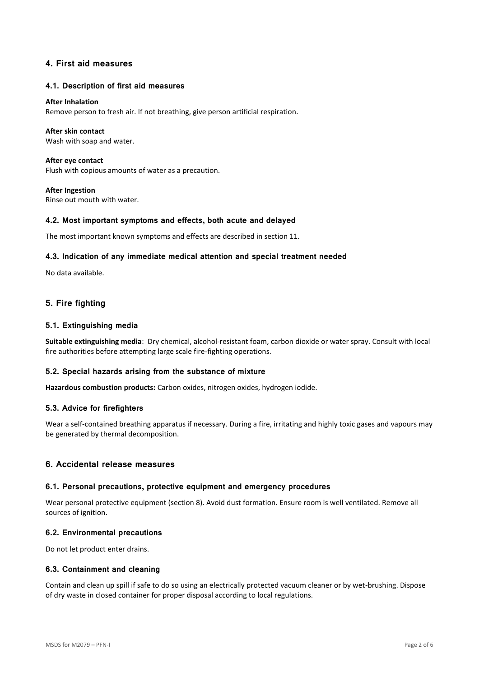## **4. First aid measures**

#### **4.1. Description of first aid measures**

#### **After Inhalation**

Remove person to fresh air. If not breathing, give person artificial respiration.

#### **After skin contact**

Wash with soap and water.

**After eye contact** Flush with copious amounts of water as a precaution.

**After Ingestion** Rinse out mouth with water.

#### **4.2. Most important symptoms and effects, both acute and delayed**

The most important known symptoms and effects are described in section 11.

#### **4.3. Indication of any immediate medical attention and special treatment needed**

No data available.

## **5. Fire fighting**

### **5.1. Extinguishing media**

**Suitable extinguishing media**: Dry chemical, alcohol-resistant foam, carbon dioxide or water spray. Consult with local fire authorities before attempting large scale fire-fighting operations.

### **5.2. Special hazards arising from the substance of mixture**

**Hazardous combustion products:** Carbon oxides, nitrogen oxides, hydrogen iodide.

#### **5.3. Advice for firefighters**

Wear a self-contained breathing apparatus if necessary. During a fire, irritating and highly toxic gases and vapours may be generated by thermal decomposition.

### **6. Accidental release measures**

#### **6.1. Personal precautions, protective equipment and emergency procedures**

Wear personal protective equipment (section 8). Avoid dust formation. Ensure room is well ventilated. Remove all sources of ignition.

#### **6.2. Environmental precautions**

Do not let product enter drains.

### **6.3. Containment and cleaning**

Contain and clean up spill if safe to do so using an electrically protected vacuum cleaner or by wet-brushing. Dispose of dry waste in closed container for proper disposal according to local regulations.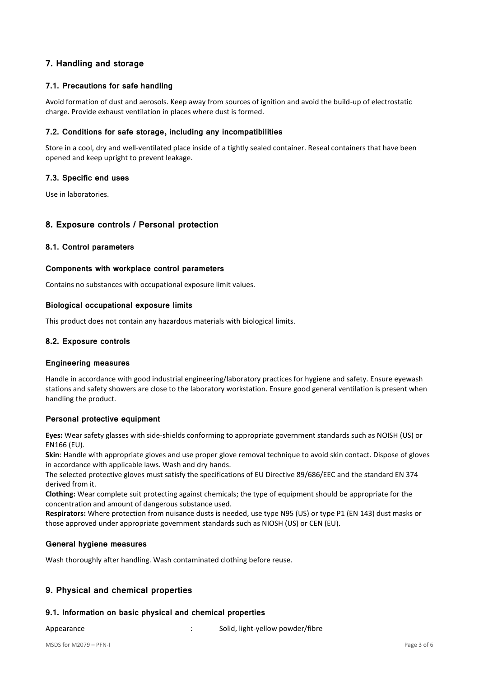# **7. Handling and storage**

## **7.1. Precautions for safe handling**

Avoid formation of dust and aerosols. Keep away from sources of ignition and avoid the build-up of electrostatic charge. Provide exhaust ventilation in places where dust is formed.

### **7.2. Conditions for safe storage, including any incompatibilities**

Store in a cool, dry and well-ventilated place inside of a tightly sealed container. Reseal containers that have been opened and keep upright to prevent leakage.

## **7.3. Specific end uses**

Use in laboratories.

## **8. Exposure controls / Personal protection**

### **8.1. Control parameters**

### **Components with workplace control parameters**

Contains no substances with occupational exposure limit values.

### **Biological occupational exposure limits**

This product does not contain any hazardous materials with biological limits.

### **8.2. Exposure controls**

### **Engineering measures**

Handle in accordance with good industrial engineering/laboratory practices for hygiene and safety. Ensure eyewash stations and safety showers are close to the laboratory workstation. Ensure good general ventilation is present when handling the product.

### **Personal protective equipment**

**Eyes:** Wear safety glasses with side-shields conforming to appropriate government standards such as NOISH (US) or EN166 (EU).

**Skin**: Handle with appropriate gloves and use proper glove removal technique to avoid skin contact. Dispose of gloves in accordance with applicable laws. Wash and dry hands.

The selected protective gloves must satisfy the specifications of EU Directive 89/686/EEC and the standard EN 374 derived from it.

**Clothing:** Wear complete suit protecting against chemicals; the type of equipment should be appropriate for the concentration and amount of dangerous substance used.

**Respirators:** Where protection from nuisance dusts is needed, use type N95 (US) or type P1 (EN 143) dust masks or those approved under appropriate government standards such as NIOSH (US) or CEN (EU).

### **General hygiene measures**

Wash thoroughly after handling. Wash contaminated clothing before reuse.

## **9. Physical and chemical properties**

### **9.1. Information on basic physical and chemical properties**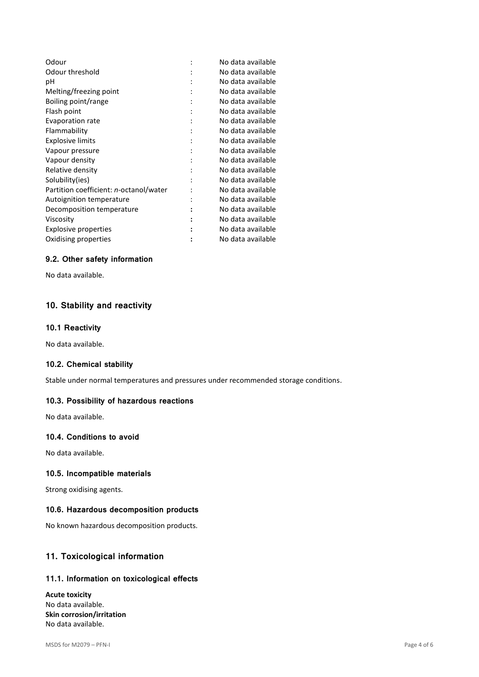| Odour                                  |                | No data available |
|----------------------------------------|----------------|-------------------|
| Odour threshold                        |                | No data available |
| рH                                     |                | No data available |
| Melting/freezing point                 |                | No data available |
| Boiling point/range                    |                | No data available |
| Flash point                            |                | No data available |
| Evaporation rate                       |                | No data available |
| Flammability                           |                | No data available |
| <b>Explosive limits</b>                |                | No data available |
| Vapour pressure                        |                | No data available |
| Vapour density                         | ٠              | No data available |
| Relative density                       | ٠              | No data available |
| Solubility(ies)                        | ٠              | No data available |
| Partition coefficient: n-octanol/water |                | No data available |
| Autoignition temperature               |                | No data available |
| Decomposition temperature              | $\ddot{\cdot}$ | No data available |
| Viscosity                              | :              | No data available |
| Explosive properties                   |                | No data available |
| Oxidising properties                   |                | No data available |
|                                        |                |                   |

## **9.2. Other safety information**

No data available.

# **10. Stability and reactivity**

#### **10.1 Reactivity**

No data available.

## **10.2. Chemical stability**

Stable under normal temperatures and pressures under recommended storage conditions.

#### **10.3. Possibility of hazardous reactions**

No data available.

## **10.4. Conditions to avoid**

No data available.

### **10.5. Incompatible materials**

Strong oxidising agents.

#### **10.6. Hazardous decomposition products**

No known hazardous decomposition products.

## **11. Toxicological information**

#### **11.1. Information on toxicological effects**

**Acute toxicity** No data available. **Skin corrosion/irritation** No data available.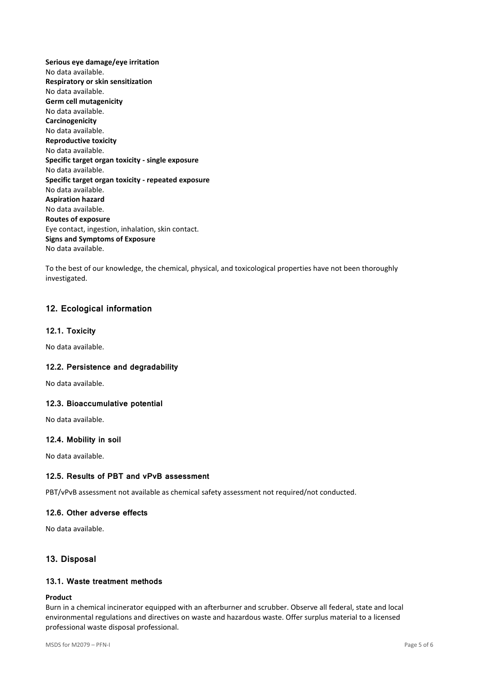**Serious eye damage/eye irritation** No data available. **Respiratory or skin sensitization** No data available. **Germ cell mutagenicity** No data available. **Carcinogenicity** No data available. **Reproductive toxicity** No data available. **Specific target organ toxicity - single exposure** No data available. **Specific target organ toxicity - repeated exposure** No data available. **Aspiration hazard** No data available. **Routes of exposure** Eye contact, ingestion, inhalation, skin contact. **Signs and Symptoms of Exposure** No data available.

To the best of our knowledge, the chemical, physical, and toxicological properties have not been thoroughly investigated.

# **12. Ecological information**

### **12.1. Toxicity**

No data available.

### **12.2. Persistence and degradability**

No data available.

### **12.3. Bioaccumulative potential**

No data available.

### **12.4. Mobility in soil**

No data available.

# **12.5. Results of PBT and vPvB assessment**

PBT/vPvB assessment not available as chemical safety assessment not required/not conducted.

# **12.6. Other adverse effects**

No data available.

# **13. Disposal**

# **13.1. Waste treatment methods**

## **Product**

Burn in a chemical incinerator equipped with an afterburner and scrubber. Observe all federal, state and local environmental regulations and directives on waste and hazardous waste. Offer surplus material to a licensed professional waste disposal professional.